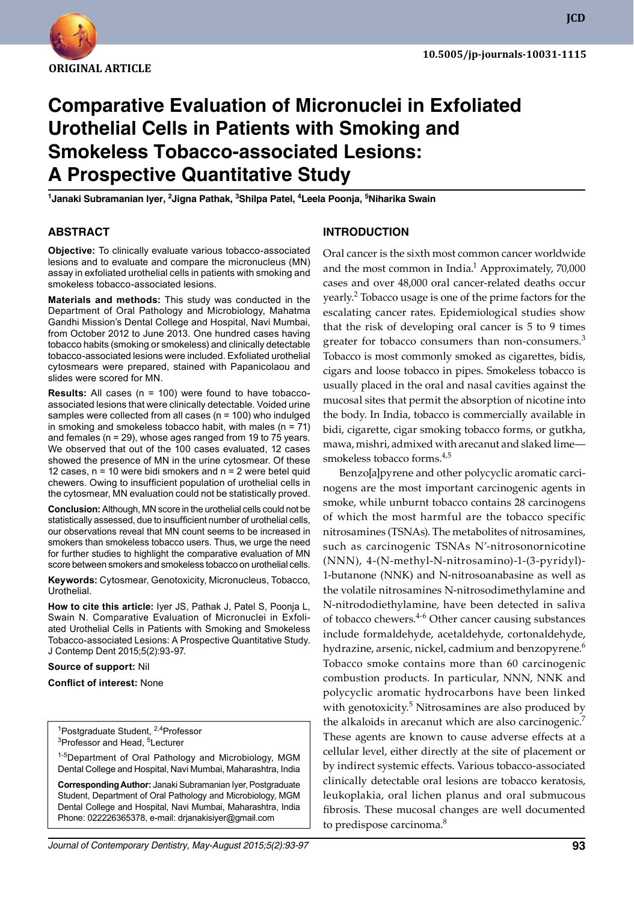

# **Comparative Evaluation of Micronuclei in Exfoliated Urothelial Cells in Patients with Smoking and Smokeless Tobacco-associated Lesions: A Prospective Quantitative Study**

<sup>1</sup>Janaki Subramanian Iyer, <sup>2</sup>Jigna Pathak, <sup>3</sup>Shilpa Patel, <sup>4</sup>Leela Poonja, <sup>5</sup>Niharika Swain

### **ABSTRACT**

**Objective:** To clinically evaluate various tobacco-associated lesions and to evaluate and compare the micronucleus (MN) assay in exfoliated urothelial cells in patients with smoking and smokeless tobacco-associated lesions.

**Materials and methods:** This study was conducted in the Department of Oral Pathology and Microbiology, Mahatma Gandhi Mission's Dental College and Hospital, Navi Mumbai, from October 2012 to June 2013. One hundred cases having tobacco habits (smoking or smokeless) and clinically detectable tobacco-associated lesions were included. Exfoliated urothelial cytosmears were prepared, stained with Papanicolaou and slides were scored for MN.

**Results:** All cases (n = 100) were found to have tobaccoassociated lesions that were clinically detectable. Voided urine samples were collected from all cases (n = 100) who indulged in smoking and smokeless tobacco habit, with males  $(n = 71)$ and females (n = 29), whose ages ranged from 19 to 75 years. We observed that out of the 100 cases evaluated, 12 cases showed the presence of MN in the urine cytosmear. Of these 12 cases,  $n = 10$  were bidi smokers and  $n = 2$  were betel quid chewers. Owing to insufficient population of urothelial cells in the cytosmear, MN evaluation could not be statistically proved.

**Conclusion:** Although, MN score in the urothelial cells could not be statistically assessed, due to insufficient number of urothelial cells, our observations reveal that MN count seems to be increased in smokers than smokeless tobacco users. Thus, we urge the need for further studies to highlight the comparative evaluation of MN score between smokers and smokeless tobacco on urothelial cells.

**Keywords:** Cytosmear, Genotoxicity, Micronucleus, Tobacco, Urothelial.

**How to cite this article:** Iyer JS, Pathak J, Patel S, Poonja L, Swain N. Comparative Evaluation of Micronuclei in Exfoliated Urothelial Cells in Patients with Smoking and Smokeless Tobacco-associated Lesions: A Prospective Quantitative Study. J Contemp Dent 2015;5(2):93-97.

**Source of support:** Nil

**Conflict of interest:** None

<sup>1</sup>Postgraduate Student, <sup>2,4</sup>Professor<br><sup>3</sup>Professor and Head, <sup>5</sup>Lecturer Professor and Head, <sup>5</sup>Lecturer

1-5Department of Oral Pathology and Microbiology, MGM Dental College and Hospital, Navi Mumbai, Maharashtra, India

**Corresponding Author:** Janaki Subramanian Iyer, Postgraduate Student, Department of Oral Pathology and Microbiology, Mgm Dental College and Hospital, Navi Mumbai, Maharashtra, India Phone: 022226365378, e-mail: drjanakisiyer@gmail.com

#### **Introduction**

Oral cancer is the sixth most common cancer worldwide and the most common in India. $1$  Approximately, 70,000 cases and over 48,000 oral cancer-related deaths occur yearly.<sup>2</sup> Tobacco usage is one of the prime factors for the escalating cancer rates. Epidemiological studies show that the risk of developing oral cancer is 5 to 9 times greater for tobacco consumers than non-consumers.<sup>3</sup> Tobacco is most commonly smoked as cigarettes, bidis, cigars and loose tobacco in pipes. Smokeless tobacco is usually placed in the oral and nasal cavities against the mucosal sites that permit the absorption of nicotine into the body. In India, tobacco is commercially available in bidi, cigarette, cigar smoking tobacco forms, or gutkha, mawa, mishri, admixed with arecanut and slaked lime smokeless tobacco forms.<sup>4,5</sup>

Benzo[a]pyrene and other polycyclic aromatic carcinogens are the most important carcinogenic agents in smoke, while unburnt tobacco contains 28 carcinogens of which the most harmful are the tobacco specific nitrosamines (TSNAs). The metabolites of nitrosamines, such as carcinogenic TSNAs N'-nitrosonornicotine (NNN), 4-(N-methyl-N-nitrosamino)-1-(3-pyridyl)- 1-butanone (NNK) and N-nitrosoanabasine as well as the volatile nitrosamines N-nitrosodimethylamine and N-nitrododiethylamine, have been detected in saliva of tobacco chewers.<sup>4-6</sup> Other cancer causing substances include formaldehyde, acetaldehyde, cortonaldehyde, hydrazine, arsenic, nickel, cadmium and benzopyrene.<sup>6</sup> Tobacco smoke contains more than 60 carcinogenic combustion products. In particular, NNN, NNK and polycyclic aromatic hydrocarbons have been linked with genotoxicity.<sup>5</sup> Nitrosamines are also produced by the alkaloids in arecanut which are also carcinogenic.<sup>7</sup> These agents are known to cause adverse effects at a cellular level, either directly at the site of placement or by indirect systemic effects. Various tobacco-associated clinically detectable oral lesions are tobacco keratosis, leukoplakia, oral lichen planus and oral submucous fibrosis. These mucosal changes are well documented to predispose carcinoma.<sup>8</sup>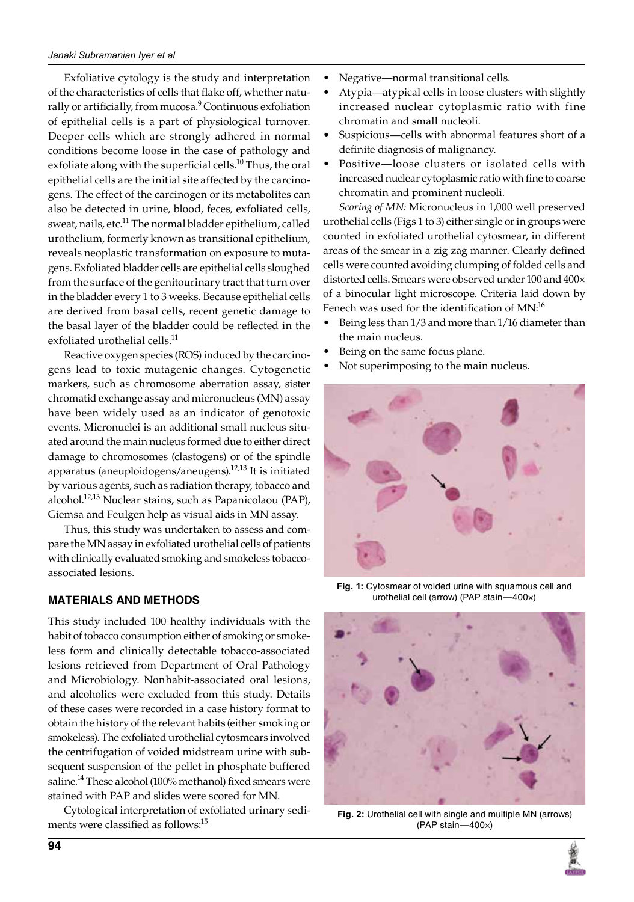Exfoliative cytology is the study and interpretation of the characteristics of cells that flake off, whether naturally or artificially, from mucosa.<sup>9</sup> Continuous exfoliation of epithelial cells is a part of physiological turnover. Deeper cells which are strongly adhered in normal conditions become loose in the case of pathology and exfoliate along with the superficial cells.<sup>10</sup> Thus, the oral epithelial cells are the initial site affected by the carcinogens. The effect of the carcinogen or its metabolites can also be detected in urine, blood, feces, exfoliated cells, sweat, nails, etc.<sup>11</sup> The normal bladder epithelium, called urothelium, formerly known as transitional epithelium, reveals neoplastic transformation on exposure to mutagens. Exfoliated bladder cells are epithelial cells sloughed from the surface of the genitourinary tract that turn over in the bladder every 1 to 3 weeks. Because epithelial cells are derived from basal cells, recent genetic damage to the basal layer of the bladder could be reflected in the exfoliated urothelial cells.<sup>11</sup>

Reactive oxygen species (ROS) induced by the carcinogens lead to toxic mutagenic changes. Cytogenetic markers, such as chromosome aberration assay, sister chromatid exchange assay and micronucleus (MN) assay have been widely used as an indicator of genotoxic events. Micronuclei is an additional small nucleus situated around the main nucleus formed due to either direct damage to chromosomes (clastogens) or of the spindle apparatus (aneuploidogens/aneugens).<sup>12,13</sup> It is initiated by various agents, such as radiation therapy, tobacco and alcohol.<sup>12,13</sup> Nuclear stains, such as Papanicolaou (PAP), Giemsa and Feulgen help as visual aids in MN assay.

Thus, this study was undertaken to assess and compare the MN assay in exfoliated urothelial cells of patients with clinically evaluated smoking and smokeless tobaccoassociated lesions.

#### **Materials and methods**

This study included 100 healthy individuals with the habit of tobacco consumption either of smoking or smokeless form and clinically detectable tobacco-associated lesions retrieved from Department of Oral Pathology and Microbiology. Nonhabit-associated oral lesions, and alcoholics were excluded from this study. Details of these cases were recorded in a case history format to obtain the history of the relevant habits (either smoking or smokeless). The exfoliated urothelial cytosmears involved the centrifugation of voided midstream urine with subsequent suspension of the pellet in phosphate buffered saline.<sup>14</sup> These alcohol (100% methanol) fixed smears were stained with PAP and slides were scored for MN.

Cytological interpretation of exfoliated urinary sediments were classified as follows:<sup>15</sup>

- Negative—normal transitional cells.
- Atypia—atypical cells in loose clusters with slightly increased nuclear cytoplasmic ratio with fine chromatin and small nucleoli.
- Suspicious—cells with abnormal features short of a definite diagnosis of malignancy.
- Positive—loose clusters or isolated cells with increased nuclear cytoplasmic ratio with fine to coarse chromatin and prominent nucleoli.

*Scoring of MN:* Micronucleus in 1,000 well preserved urothelial cells (Figs 1 to 3) either single or in groups were counted in exfoliated urothelial cytosmear, in different areas of the smear in a zig zag manner. Clearly defined cells were counted avoiding clumping of folded cells and distorted cells. Smears were observed under 100 and 400× of a binocular light microscope. Criteria laid down by Fenech was used for the identification of MN:<sup>16</sup>

- Being less than 1/3 and more than 1/16 diameter than the main nucleus.
- Being on the same focus plane.
- Not superimposing to the main nucleus.



**Fig. 1:** Cytosmear of voided urine with squamous cell and urothelial cell (arrow) (PAP stain—400×)



Fig. 2: Urothelial cell with single and multiple MN (arrows) (PAP stain—400×)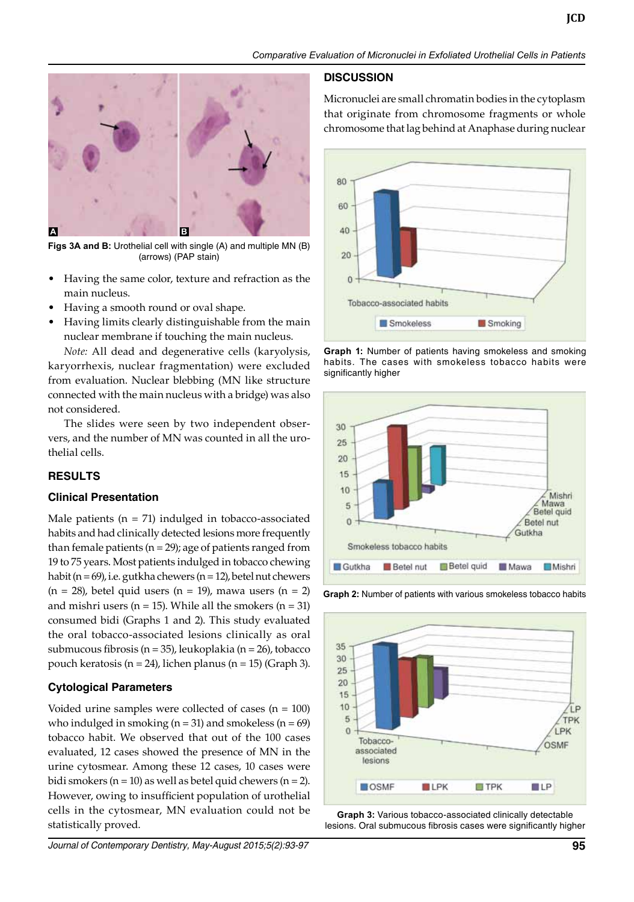

**Figs 3A and B:** Urothelial cell with single (A) and multiple MN (B) (arrows) (PAP stain)

- Having the same color, texture and refraction as the main nucleus.
- Having a smooth round or oval shape.
- Having limits clearly distinguishable from the main nuclear membrane if touching the main nucleus.

*Note:* All dead and degenerative cells (karyolysis, karyorrhexis, nuclear fragmentation) were excluded from evaluation. Nuclear blebbing (MN like structure connected with the main nucleus with a bridge) was also not considered.

The slides were seen by two independent observers, and the number of MN was counted in all the urothelial cells.

# **Results**

#### **Clinical Presentation**

Male patients  $(n = 71)$  indulged in tobacco-associated habits and had clinically detected lesions more frequently than female patients ( $n = 29$ ); age of patients ranged from 19 to 75 years. Most patients indulged in tobacco chewing habit ( $n = 69$ ), i.e. gutkha chewers ( $n = 12$ ), betel nut chewers  $(n = 28)$ , betel quid users  $(n = 19)$ , mawa users  $(n = 2)$ and mishri users ( $n = 15$ ). While all the smokers ( $n = 31$ ) consumed bidi (Graphs 1 and 2). This study evaluated the oral tobacco-associated lesions clinically as oral submucous fibrosis (n = 35), leukoplakia (n = 26), tobacco pouch keratosis (n = 24), lichen planus (n = 15) (Graph 3).

# **Cytological Parameters**

Voided urine samples were collected of cases  $(n = 100)$ who indulged in smoking ( $n = 31$ ) and smokeless ( $n = 69$ ) tobacco habit. We observed that out of the 100 cases evaluated, 12 cases showed the presence of MN in the urine cytosmear. Among these 12 cases, 10 cases were bidi smokers ( $n = 10$ ) as well as betel quid chewers ( $n = 2$ ). However, owing to insufficient population of urothelial cells in the cytosmear, MN evaluation could not be statistically proved.

#### **Discussion**

Micronuclei are small chromatin bodies in the cytoplasm that originate from chromosome fragments or whole chromosome that lag behind at Anaphase during nuclear



**Graph 1:** Number of patients having smokeless and smoking habits. The cases with smokeless tobacco habits were significantly higher



**Graph 2:** Number of patients with various smokeless tobacco habits



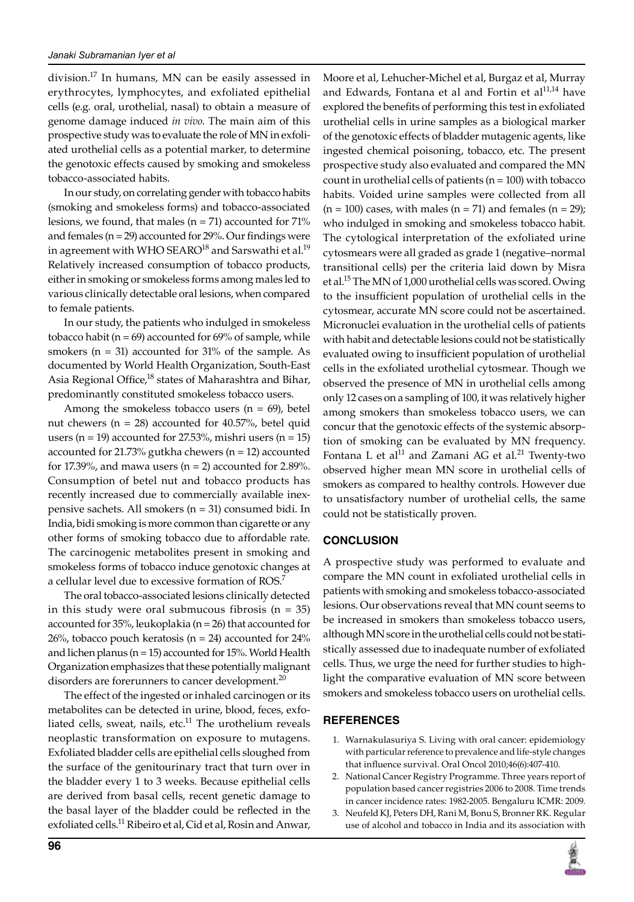division.17 In humans, MN can be easily assessed in erythrocytes, lymphocytes, and exfoliated epithelial cells (e.g. oral, urothelial, nasal) to obtain a measure of genome damage induced *in vivo*. The main aim of this prospective study was to evaluate the role of MN in exfoliated urothelial cells as a potential marker, to determine the genotoxic effects caused by smoking and smokeless tobacco-associated habits.

In our study, on correlating gender with tobacco habits (smoking and smokeless forms) and tobacco-associated lesions, we found, that males ( $n = 71$ ) accounted for 71% and females (n = 29) accounted for 29%. Our findings were in agreement with WHO SEARO<sup>18</sup> and Sarswathi et al.<sup>19</sup> Relatively increased consumption of tobacco products, either in smoking or smokeless forms among males led to various clinically detectable oral lesions, when compared to female patients.

In our study, the patients who indulged in smokeless tobacco habit (n = 69) accounted for 69% of sample, while smokers ( $n = 31$ ) accounted for 31% of the sample. As documented by World Health Organization, South-East Asia Regional Office,<sup>18</sup> states of Maharashtra and Bihar, predominantly constituted smokeless tobacco users.

Among the smokeless tobacco users  $(n = 69)$ , betel nut chewers ( $n = 28$ ) accounted for 40.57%, betel quid users ( $n = 19$ ) accounted for 27.53%, mishri users ( $n = 15$ ) accounted for 21.73% gutkha chewers (n = 12) accounted for 17.39%, and mawa users  $(n = 2)$  accounted for 2.89%. Consumption of betel nut and tobacco products has recently increased due to commercially available inexpensive sachets. All smokers (n = 31) consumed bidi. In India, bidi smoking is more common than cigarette or any other forms of smoking tobacco due to affordable rate. The carcinogenic metabolites present in smoking and smokeless forms of tobacco induce genotoxic changes at a cellular level due to excessive formation of ROS.<sup>7</sup>

The oral tobacco-associated lesions clinically detected in this study were oral submucous fibrosis  $(n = 35)$ accounted for  $35\%$ , leukoplakia (n = 26) that accounted for  $26%$ , tobacco pouch keratosis (n = 24) accounted for  $24%$ and lichen planus (n = 15) accounted for 15%. World Health Organization emphasizes that these potentially malignant disorders are forerunners to cancer development. $^{20}$ 

The effect of the ingested or inhaled carcinogen or its metabolites can be detected in urine, blood, feces, exfoliated cells, sweat, nails, etc. $11$  The urothelium reveals neoplastic transformation on exposure to mutagens. Exfoliated bladder cells are epithelial cells sloughed from the surface of the genitourinary tract that turn over in the bladder every 1 to 3 weeks. Because epithelial cells are derived from basal cells, recent genetic damage to the basal layer of the bladder could be reflected in the exfoliated cells.<sup>11</sup> Ribeiro et al, Cid et al, Rosin and Anwar,

Moore et al, Lehucher-Michel et al, Burgaz et al, Murray and Edwards, Fontana et al and Fortin et  $al^{11,14}$  have explored the benefits of performing this test in exfoliated urothelial cells in urine samples as a biological marker of the genotoxic effects of bladder mutagenic agents, like ingested chemical poisoning, tobacco, etc. The present prospective study also evaluated and compared the MN count in urothelial cells of patients  $(n = 100)$  with tobacco habits. Voided urine samples were collected from all  $(n = 100)$  cases, with males  $(n = 71)$  and females  $(n = 29)$ ; who indulged in smoking and smokeless tobacco habit. The cytological interpretation of the exfoliated urine cytosmears were all graded as grade 1 (negative–normal transitional cells) per the criteria laid down by Misra et al.15 The MN of 1,000 urothelial cells was scored. Owing to the insufficient population of urothelial cells in the cytosmear, accurate MN score could not be ascertained. Micronuclei evaluation in the urothelial cells of patients with habit and detectable lesions could not be statistically evaluated owing to insufficient population of urothelial cells in the exfoliated urothelial cytosmear. Though we observed the presence of MN in urothelial cells among only 12 cases on a sampling of 100, it was relatively higher among smokers than smokeless tobacco users, we can concur that the genotoxic effects of the systemic absorption of smoking can be evaluated by MN frequency. Fontana L et al $^{11}$  and Zamani AG et al. $^{21}$  Twenty-two observed higher mean MN score in urothelial cells of smokers as compared to healthy controls. However due to unsatisfactory number of urothelial cells, the same could not be statistically proven.

# **Conclusion**

A prospective study was performed to evaluate and compare the MN count in exfoliated urothelial cells in patients with smoking and smokeless tobacco-associated lesions. Our observations reveal that MN count seems to be increased in smokers than smokeless tobacco users, although MN score in the urothelial cells could not be statistically assessed due to inadequate number of exfoliated cells. Thus, we urge the need for further studies to highlight the comparative evaluation of MN score between smokers and smokeless tobacco users on urothelial cells.

#### **References**

- 1. Warnakulasuriya S. Living with oral cancer: epidemiology with particular reference to prevalence and life-style changes that influence survival. Oral Oncol 2010;46(6):407-410.
- 2. National Cancer Registry Programme. Three years report of population based cancer registries 2006 to 2008. Time trends in cancer incidence rates: 1982-2005. Bengaluru ICMR: 2009.
- 3. Neufeld KJ, Peters DH, Rani M, Bonu S, Bronner RK. Regular use of alcohol and tobacco in India and its association with